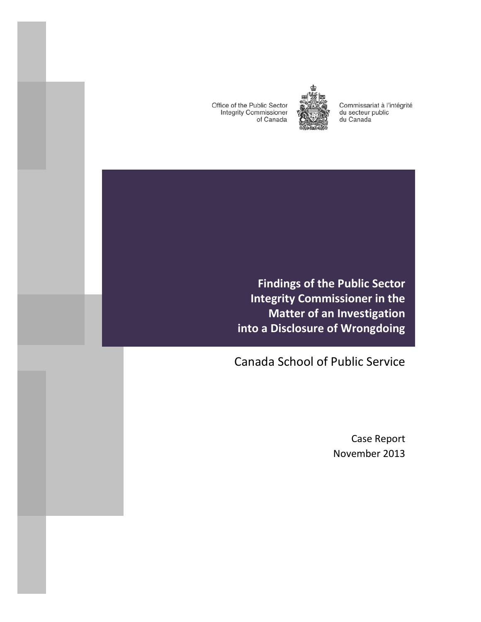Office of the Public Sector **Integrity Commissioner** of Canada



Commissariat à l'intégrité du secteur public du Canada

**Findings of the Public Sector Integrity Commissioner in the Matter of an Investigation into a Disclosure of Wrongdoing**

Canada School of Public Service

Case Report November 2013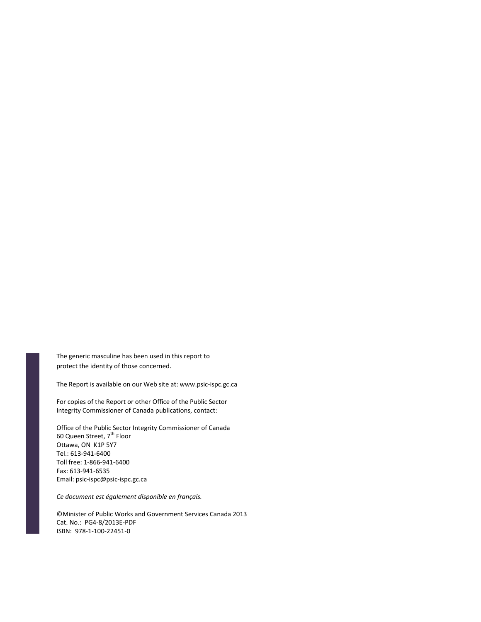The generic masculine has been used in this report to protect the identity of those concerned.

The Report is available on our Web site at: www.psic-ispc.gc.ca

For copies of the Report or other Office of the Public Sector Integrity Commissioner of Canada publications, contact:

Office of the Public Sector Integrity Commissioner of Canada 60 Queen Street, 7<sup>th</sup> Floor Ottawa, ON K1P 5Y7 Tel.: 613-941-6400 Toll free: 1-866-941-6400 Fax: 613-941-6535 Email: psic-ispc@psic-ispc.gc.ca

*Ce document est également disponible en français.* 

©Minister of Public Works and Government Services Canada 2013 Cat. No.: PG4-8/2013E-PDF ISBN: 978-1-100-22451-0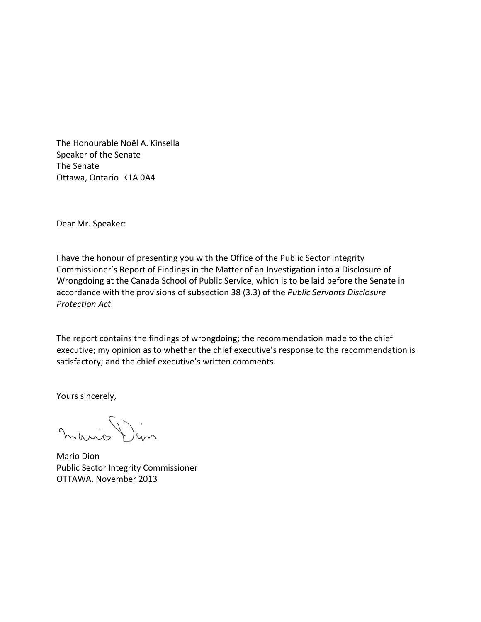The Honourable Noël A. Kinsella Speaker of the Senate The Senate Ottawa, Ontario K1A 0A4

Dear Mr. Speaker:

I have the honour of presenting you with the Office of the Public Sector Integrity Commissioner's Report of Findings in the Matter of an Investigation into a Disclosure of Wrongdoing at the Canada School of Public Service, which is to be laid before the Senate in accordance with the provisions of subsection 38 (3.3) of the *Public Servants Disclosure Protection Act*.

The report contains the findings of wrongdoing; the recommendation made to the chief executive; my opinion as to whether the chief executive's response to the recommendation is satisfactory; and the chief executive's written comments.

Yours sincerely,

mario Din

Mario Dion Public Sector Integrity Commissioner OTTAWA, November 2013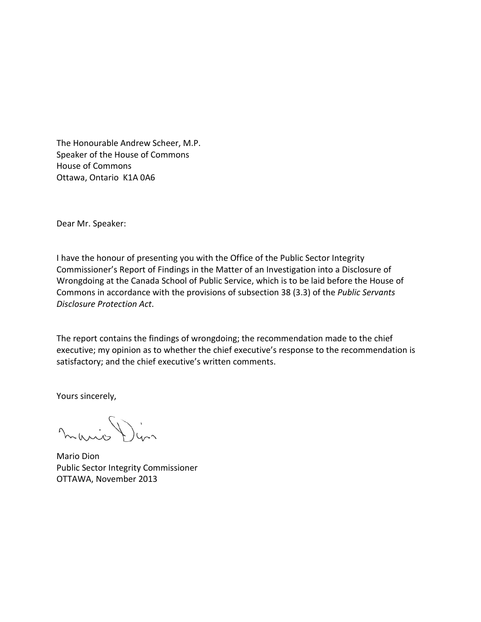The Honourable Andrew Scheer, M.P. Speaker of the House of Commons House of Commons Ottawa, Ontario K1A 0A6

Dear Mr. Speaker:

I have the honour of presenting you with the Office of the Public Sector Integrity Commissioner's Report of Findings in the Matter of an Investigation into a Disclosure of Wrongdoing at the Canada School of Public Service, which is to be laid before the House of Commons in accordance with the provisions of subsection 38 (3.3) of the *Public Servants Disclosure Protection Act*.

The report contains the findings of wrongdoing; the recommendation made to the chief executive; my opinion as to whether the chief executive's response to the recommendation is satisfactory; and the chief executive's written comments.

Yours sincerely,

mario Din

Mario Dion Public Sector Integrity Commissioner OTTAWA, November 2013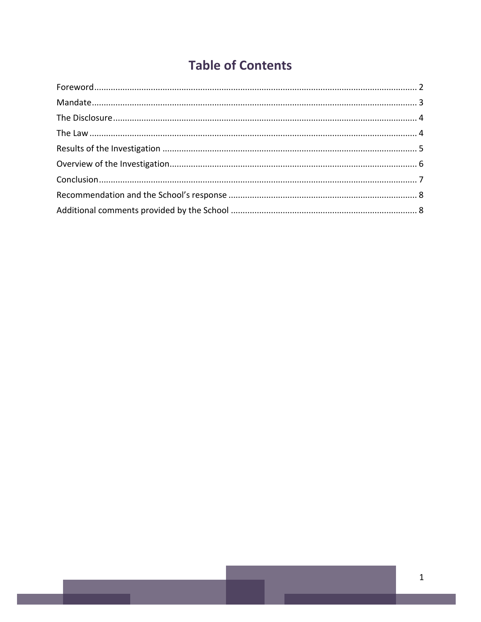# **Table of Contents**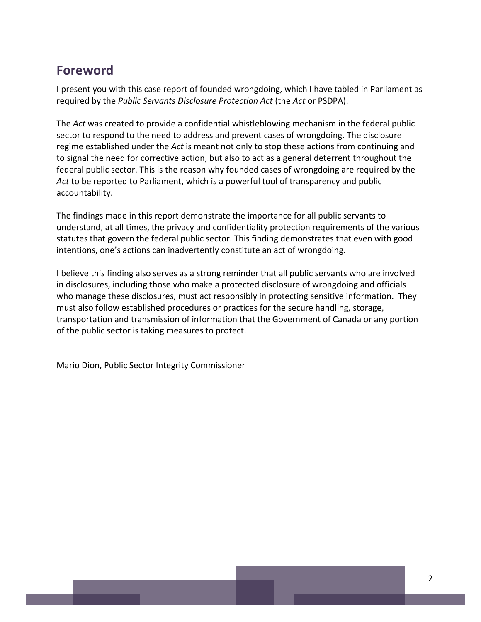### <span id="page-7-0"></span>**Foreword**

I present you with this case report of founded wrongdoing, which I have tabled in Parliament as required by the *Public Servants Disclosure Protection Act* (the *Act* or PSDPA).

The *Act* was created to provide a confidential whistleblowing mechanism in the federal public sector to respond to the need to address and prevent cases of wrongdoing. The disclosure regime established under the *Act* is meant not only to stop these actions from continuing and to signal the need for corrective action, but also to act as a general deterrent throughout the federal public sector. This is the reason why founded cases of wrongdoing are required by the *Act* to be reported to Parliament, which is a powerful tool of transparency and public accountability.

The findings made in this report demonstrate the importance for all public servants to understand, at all times, the privacy and confidentiality protection requirements of the various statutes that govern the federal public sector. This finding demonstrates that even with good intentions, one's actions can inadvertently constitute an act of wrongdoing.

I believe this finding also serves as a strong reminder that all public servants who are involved in disclosures, including those who make a protected disclosure of wrongdoing and officials who manage these disclosures, must act responsibly in protecting sensitive information. They must also follow established procedures or practices for the secure handling, storage, transportation and transmission of information that the Government of Canada or any portion of the public sector is taking measures to protect.

Mario Dion, Public Sector Integrity Commissioner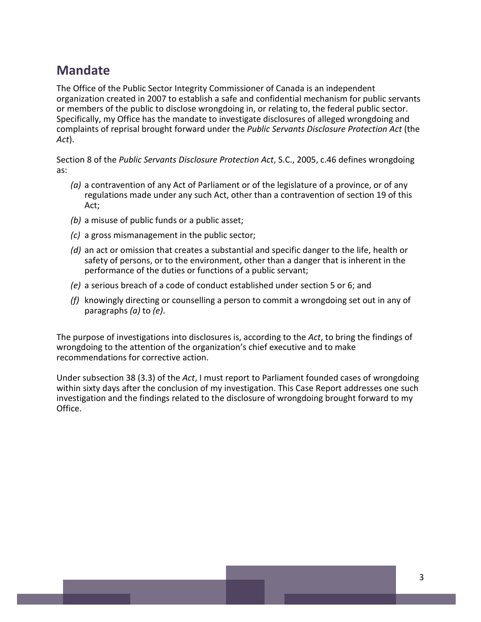# <span id="page-8-0"></span>**Mandate**

The Office of the Public Sector Integrity Commissioner of Canada is an independent organization created in 2007 to establish a safe and confidential mechanism for public servants or members of the public to disclose wrongdoing in, or relating to, the federal public sector. Specifically, my Office has the mandate to investigate disclosures of alleged wrongdoing and complaints of reprisal brought forward under the *Public Servants Disclosure Protection Act* (the *Act*).

Section 8 of the *Public Servants Disclosure Protection Act*, S.C., 2005, c.46 defines wrongdoing as:

- *(a)* a contravention of any Act of Parliament or of the legislature of a province, or of any regulations made under any such Act, other than a contravention of section 19 of this Act;
- *(b)* a misuse of public funds or a public asset;
- *(c)* a gross mismanagement in the public sector;
- *(d)* an act or omission that creates a substantial and specific danger to the life, health or safety of persons, or to the environment, other than a danger that is inherent in the performance of the duties or functions of a public servant;
- *(e)* a serious breach of a code of conduct established under section 5 or 6; and
- *(f)* knowingly directing or counselling a person to commit a wrongdoing set out in any of paragraphs *(a)* to *(e)*.

The purpose of investigations into disclosures is, according to the *Act*, to bring the findings of wrongdoing to the attention of the organization's chief executive and to make recommendations for corrective action.

Under subsection 38 (3.3) of the *Act*, I must report to Parliament founded cases of wrongdoing within sixty days after the conclusion of my investigation. This Case Report addresses one such investigation and the findings related to the disclosure of wrongdoing brought forward to my Office.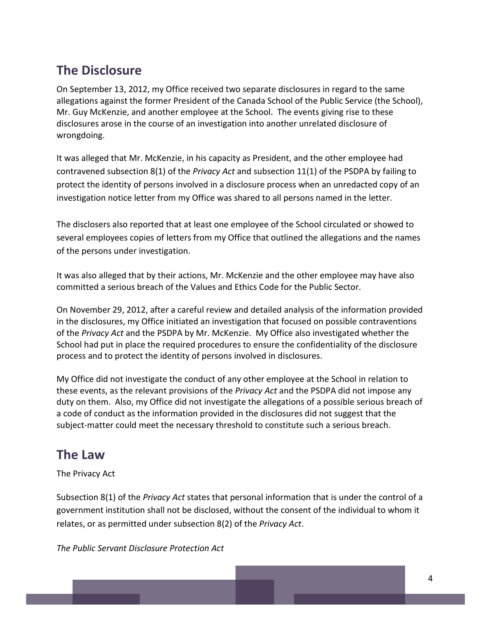# <span id="page-9-0"></span>**The Disclosure**

On September 13, 2012, my Office received two separate disclosures in regard to the same allegations against the former President of the Canada School of the Public Service (the School), Mr. Guy McKenzie, and another employee at the School. The events giving rise to these disclosures arose in the course of an investigation into another unrelated disclosure of wrongdoing.

It was alleged that Mr. McKenzie, in his capacity as President, and the other employee had contravened subsection 8(1) of the *Privacy Act* and subsection 11(1) of the PSDPA by failing to protect the identity of persons involved in a disclosure process when an unredacted copy of an investigation notice letter from my Office was shared to all persons named in the letter.

The disclosers also reported that at least one employee of the School circulated or showed to several employees copies of letters from my Office that outlined the allegations and the names of the persons under investigation.

It was also alleged that by their actions, Mr. McKenzie and the other employee may have also committed a serious breach of the Values and Ethics Code for the Public Sector.

On November 29, 2012, after a careful review and detailed analysis of the information provided in the disclosures, my Office initiated an investigation that focused on possible contraventions of the *Privacy Act* and the PSDPA by Mr. McKenzie. My Office also investigated whether the School had put in place the required procedures to ensure the confidentiality of the disclosure process and to protect the identity of persons involved in disclosures.

My Office did not investigate the conduct of any other employee at the School in relation to these events, as the relevant provisions of the *Privacy Act* and the PSDPA did not impose any duty on them. Also, my Office did not investigate the allegations of a possible serious breach of a code of conduct as the information provided in the disclosures did not suggest that the subject-matter could meet the necessary threshold to constitute such a serious breach.

# <span id="page-9-1"></span>**The Law**

#### The Privacy Act

Subsection 8(1) of the *Privacy Act* states that personal information that is under the control of a government institution shall not be disclosed, without the consent of the individual to whom it relates, or as permitted under subsection 8(2) of the *Privacy Act*.

*The Public Servant Disclosure Protection Act*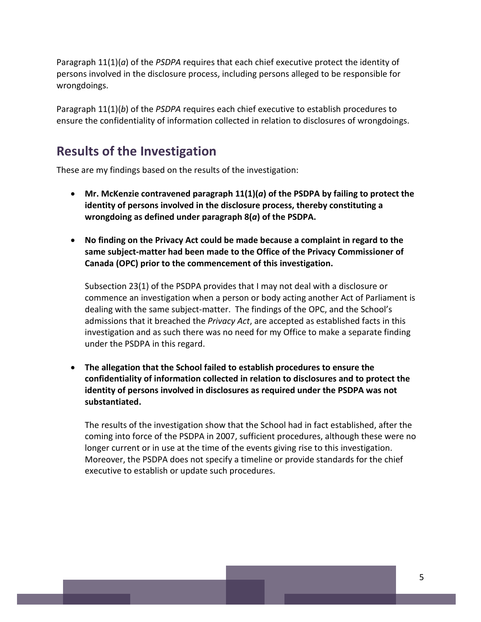Paragraph 11(1)(*a*) of the *PSDPA* requires that each chief executive protect the identity of persons involved in the disclosure process, including persons alleged to be responsible for wrongdoings.

Paragraph 11(1)(*b*) of the *PSDPA* requires each chief executive to establish procedures to ensure the confidentiality of information collected in relation to disclosures of wrongdoings.

### <span id="page-10-0"></span>**Results of the Investigation**

These are my findings based on the results of the investigation:

- **Mr. McKenzie contravened paragraph 11(1)(***a***) of the PSDPA by failing to protect the identity of persons involved in the disclosure process, thereby constituting a wrongdoing as defined under paragraph 8(***a***) of the PSDPA.**
- **No finding on the Privacy Act could be made because a complaint in regard to the same subject-matter had been made to the Office of the Privacy Commissioner of Canada (OPC) prior to the commencement of this investigation.**

Subsection 23(1) of the PSDPA provides that I may not deal with a disclosure or commence an investigation when a person or body acting another Act of Parliament is dealing with the same subject-matter. The findings of the OPC, and the School's admissions that it breached the *Privacy Act*, are accepted as established facts in this investigation and as such there was no need for my Office to make a separate finding under the PSDPA in this regard.

• **The allegation that the School failed to establish procedures to ensure the confidentiality of information collected in relation to disclosures and to protect the identity of persons involved in disclosures as required under the PSDPA was not substantiated.** 

The results of the investigation show that the School had in fact established, after the coming into force of the PSDPA in 2007, sufficient procedures, although these were no longer current or in use at the time of the events giving rise to this investigation. Moreover, the PSDPA does not specify a timeline or provide standards for the chief executive to establish or update such procedures.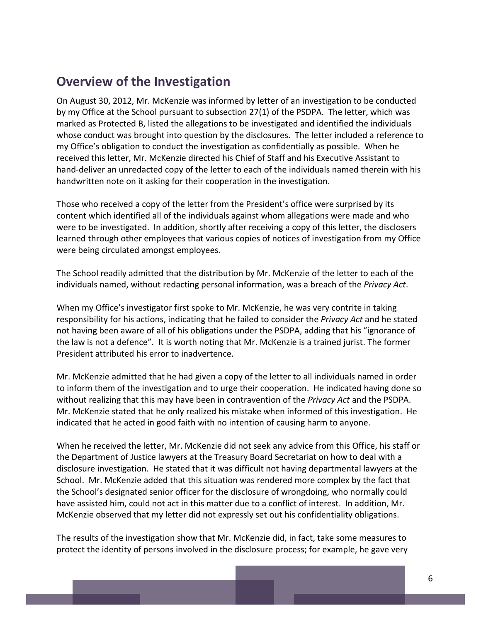#### <span id="page-11-0"></span>**Overview of the Investigation**

On August 30, 2012, Mr. McKenzie was informed by letter of an investigation to be conducted by my Office at the School pursuant to subsection 27(1) of the PSDPA. The letter, which was marked as Protected B, listed the allegations to be investigated and identified the individuals whose conduct was brought into question by the disclosures. The letter included a reference to my Office's obligation to conduct the investigation as confidentially as possible. When he received this letter, Mr. McKenzie directed his Chief of Staff and his Executive Assistant to hand-deliver an unredacted copy of the letter to each of the individuals named therein with his handwritten note on it asking for their cooperation in the investigation.

Those who received a copy of the letter from the President's office were surprised by its content which identified all of the individuals against whom allegations were made and who were to be investigated. In addition, shortly after receiving a copy of this letter, the disclosers learned through other employees that various copies of notices of investigation from my Office were being circulated amongst employees.

The School readily admitted that the distribution by Mr. McKenzie of the letter to each of the individuals named, without redacting personal information, was a breach of the *Privacy Act*.

When my Office's investigator first spoke to Mr. McKenzie, he was very contrite in taking responsibility for his actions, indicating that he failed to consider the *Privacy Act* and he stated not having been aware of all of his obligations under the PSDPA, adding that his "ignorance of the law is not a defence". It is worth noting that Mr. McKenzie is a trained jurist. The former President attributed his error to inadvertence.

Mr. McKenzie admitted that he had given a copy of the letter to all individuals named in order to inform them of the investigation and to urge their cooperation. He indicated having done so without realizing that this may have been in contravention of the *Privacy Act* and the PSDPA. Mr. McKenzie stated that he only realized his mistake when informed of this investigation. He indicated that he acted in good faith with no intention of causing harm to anyone.

When he received the letter, Mr. McKenzie did not seek any advice from this Office, his staff or the Department of Justice lawyers at the Treasury Board Secretariat on how to deal with a disclosure investigation. He stated that it was difficult not having departmental lawyers at the School. Mr. McKenzie added that this situation was rendered more complex by the fact that the School's designated senior officer for the disclosure of wrongdoing, who normally could have assisted him, could not act in this matter due to a conflict of interest. In addition, Mr. McKenzie observed that my letter did not expressly set out his confidentiality obligations.

The results of the investigation show that Mr. McKenzie did, in fact, take some measures to protect the identity of persons involved in the disclosure process; for example, he gave very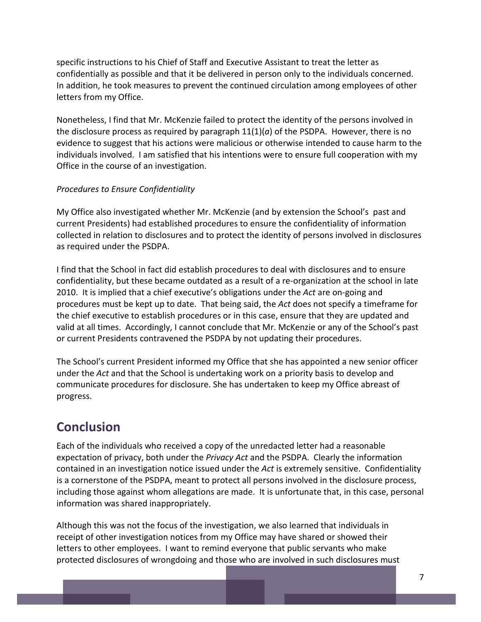specific instructions to his Chief of Staff and Executive Assistant to treat the letter as confidentially as possible and that it be delivered in person only to the individuals concerned. In addition, he took measures to prevent the continued circulation among employees of other letters from my Office.

Nonetheless, I find that Mr. McKenzie failed to protect the identity of the persons involved in the disclosure process as required by paragraph 11(1)(*a*) of the PSDPA. However, there is no evidence to suggest that his actions were malicious or otherwise intended to cause harm to the individuals involved. I am satisfied that his intentions were to ensure full cooperation with my Office in the course of an investigation.

#### *Procedures to Ensure Confidentiality*

My Office also investigated whether Mr. McKenzie (and by extension the School's past and current Presidents) had established procedures to ensure the confidentiality of information collected in relation to disclosures and to protect the identity of persons involved in disclosures as required under the PSDPA.

I find that the School in fact did establish procedures to deal with disclosures and to ensure confidentiality, but these became outdated as a result of a re-organization at the school in late 2010. It is implied that a chief executive's obligations under the *Act* are on-going and procedures must be kept up to date. That being said, the *Act* does not specify a timeframe for the chief executive to establish procedures or in this case, ensure that they are updated and valid at all times. Accordingly, I cannot conclude that Mr. McKenzie or any of the School's past or current Presidents contravened the PSDPA by not updating their procedures.

The School's current President informed my Office that she has appointed a new senior officer under the *Act* and that the School is undertaking work on a priority basis to develop and communicate procedures for disclosure. She has undertaken to keep my Office abreast of progress.

#### <span id="page-12-0"></span>**Conclusion**

Each of the individuals who received a copy of the unredacted letter had a reasonable expectation of privacy, both under the *Privacy Act* and the PSDPA. Clearly the information contained in an investigation notice issued under the *Act* is extremely sensitive. Confidentiality is a cornerstone of the PSDPA, meant to protect all persons involved in the disclosure process, including those against whom allegations are made. It is unfortunate that, in this case, personal information was shared inappropriately.

Although this was not the focus of the investigation, we also learned that individuals in receipt of other investigation notices from my Office may have shared or showed their letters to other employees. I want to remind everyone that public servants who make protected disclosures of wrongdoing and those who are involved in such disclosures must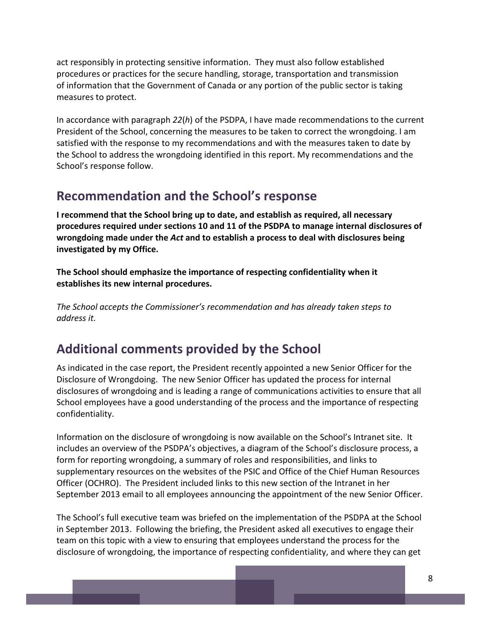act responsibly in protecting sensitive information. They must also follow established procedures or practices for the secure handling, storage, transportation and transmission of information that the Government of Canada or any portion of the public sector is taking measures to protect.

In accordance with paragraph *22*(*h*) of the PSDPA, I have made recommendations to the current President of the School, concerning the measures to be taken to correct the wrongdoing. I am satisfied with the response to my recommendations and with the measures taken to date by the School to address the wrongdoing identified in this report. My recommendations and the School's response follow.

#### <span id="page-13-0"></span>**Recommendation and the School's response**

**I recommend that the School bring up to date, and establish as required, all necessary procedures required under sections 10 and 11 of the PSDPA to manage internal disclosures of wrongdoing made under the** *Act* **and to establish a process to deal with disclosures being investigated by my Office.** 

**The School should emphasize the importance of respecting confidentiality when it establishes its new internal procedures.**

*The School accepts the Commissioner's recommendation and has already taken steps to address it.*

# <span id="page-13-1"></span>**Additional comments provided by the School**

As indicated in the case report, the President recently appointed a new Senior Officer for the Disclosure of Wrongdoing. The new Senior Officer has updated the process for internal disclosures of wrongdoing and is leading a range of communications activities to ensure that all School employees have a good understanding of the process and the importance of respecting confidentiality.

Information on the disclosure of wrongdoing is now available on the School's Intranet site. It includes an overview of the PSDPA's objectives, a diagram of the School's disclosure process, a form for reporting wrongdoing, a summary of roles and responsibilities, and links to supplementary resources on the websites of the PSIC and Office of the Chief Human Resources Officer (OCHRO). The President included links to this new section of the Intranet in her September 2013 email to all employees announcing the appointment of the new Senior Officer.

The School's full executive team was briefed on the implementation of the PSDPA at the School in September 2013. Following the briefing, the President asked all executives to engage their team on this topic with a view to ensuring that employees understand the process for the disclosure of wrongdoing, the importance of respecting confidentiality, and where they can get